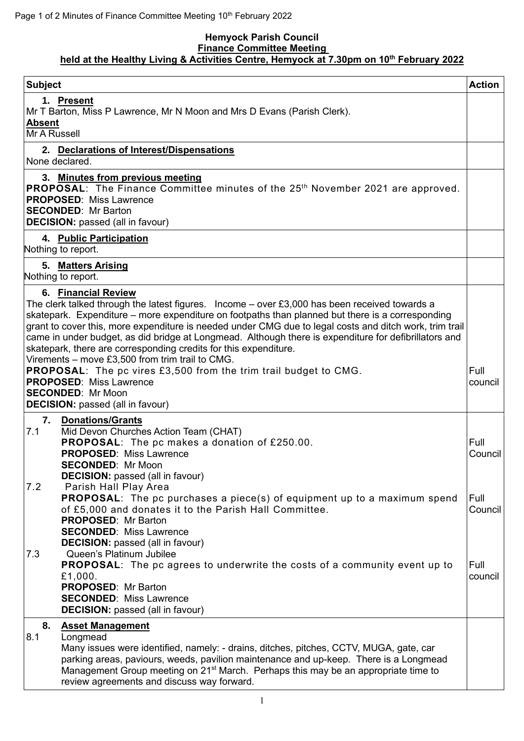## **Hemyock Parish Council Finance Committee Meeting held at the Healthy Living & Activities Centre, Hemyock at 7.30pm on 10th February 2022**

| <b>Subject</b>                                                                                                                                                                                                                                                                                                                                                                                                                                                                                                                                                                                                                                                                                                                                            | <b>Action</b>   |
|-----------------------------------------------------------------------------------------------------------------------------------------------------------------------------------------------------------------------------------------------------------------------------------------------------------------------------------------------------------------------------------------------------------------------------------------------------------------------------------------------------------------------------------------------------------------------------------------------------------------------------------------------------------------------------------------------------------------------------------------------------------|-----------------|
| 1. Present<br>Mr T Barton, Miss P Lawrence, Mr N Moon and Mrs D Evans (Parish Clerk).<br><b>Absent</b><br>Mr A Russell                                                                                                                                                                                                                                                                                                                                                                                                                                                                                                                                                                                                                                    |                 |
| 2. Declarations of Interest/Dispensations<br>None declared.                                                                                                                                                                                                                                                                                                                                                                                                                                                                                                                                                                                                                                                                                               |                 |
| 3. Minutes from previous meeting<br><b>PROPOSAL:</b> The Finance Committee minutes of the 25 <sup>th</sup> November 2021 are approved.<br><b>PROPOSED: Miss Lawrence</b><br><b>SECONDED: Mr Barton</b><br><b>DECISION:</b> passed (all in favour)                                                                                                                                                                                                                                                                                                                                                                                                                                                                                                         |                 |
| 4. Public Participation<br>Nothing to report.                                                                                                                                                                                                                                                                                                                                                                                                                                                                                                                                                                                                                                                                                                             |                 |
| 5. Matters Arising<br>Nothing to report.                                                                                                                                                                                                                                                                                                                                                                                                                                                                                                                                                                                                                                                                                                                  |                 |
| 6. Financial Review<br>The clerk talked through the latest figures. Income $-$ over £3,000 has been received towards a<br>skatepark. Expenditure – more expenditure on footpaths than planned but there is a corresponding<br>grant to cover this, more expenditure is needed under CMG due to legal costs and ditch work, trim trail<br>came in under budget, as did bridge at Longmead. Although there is expenditure for defibrillators and<br>skatepark, there are corresponding credits for this expenditure.<br>Virements - move £3,500 from trim trail to CMG.<br><b>PROPOSAL:</b> The pc vires £3,500 from the trim trail budget to CMG.<br><b>PROPOSED: Miss Lawrence</b><br><b>SECONDED: Mr Moon</b><br><b>DECISION:</b> passed (all in favour) | Full<br>council |
| 7.<br><b>Donations/Grants</b><br>Mid Devon Churches Action Team (CHAT)<br>7.1<br><b>PROPOSAL:</b> The pc makes a donation of £250.00.<br><b>PROPOSED: Miss Lawrence</b><br><b>SECONDED: Mr Moon</b>                                                                                                                                                                                                                                                                                                                                                                                                                                                                                                                                                       | Full<br>Council |
| <b>DECISION:</b> passed (all in favour)<br>7.2<br>Parish Hall Play Area<br><b>PROPOSAL:</b> The pc purchases a piece(s) of equipment up to a maximum spend<br>of £5,000 and donates it to the Parish Hall Committee.<br><b>PROPOSED: Mr Barton</b><br><b>SECONDED: Miss Lawrence</b><br><b>DECISION:</b> passed (all in favour)                                                                                                                                                                                                                                                                                                                                                                                                                           | Full<br>Council |
| Queen's Platinum Jubilee<br>7.3<br>PROPOSAL: The pc agrees to underwrite the costs of a community event up to<br>£1,000.<br><b>PROPOSED: Mr Barton</b><br><b>SECONDED: Miss Lawrence</b><br><b>DECISION:</b> passed (all in favour)                                                                                                                                                                                                                                                                                                                                                                                                                                                                                                                       | Full<br>council |
| 8.<br><b>Asset Management</b><br>8.1<br>Longmead<br>Many issues were identified, namely: - drains, ditches, pitches, CCTV, MUGA, gate, car<br>parking areas, paviours, weeds, pavilion maintenance and up-keep. There is a Longmead<br>Management Group meeting on 21 <sup>st</sup> March. Perhaps this may be an appropriate time to<br>review agreements and discuss way forward.                                                                                                                                                                                                                                                                                                                                                                       |                 |